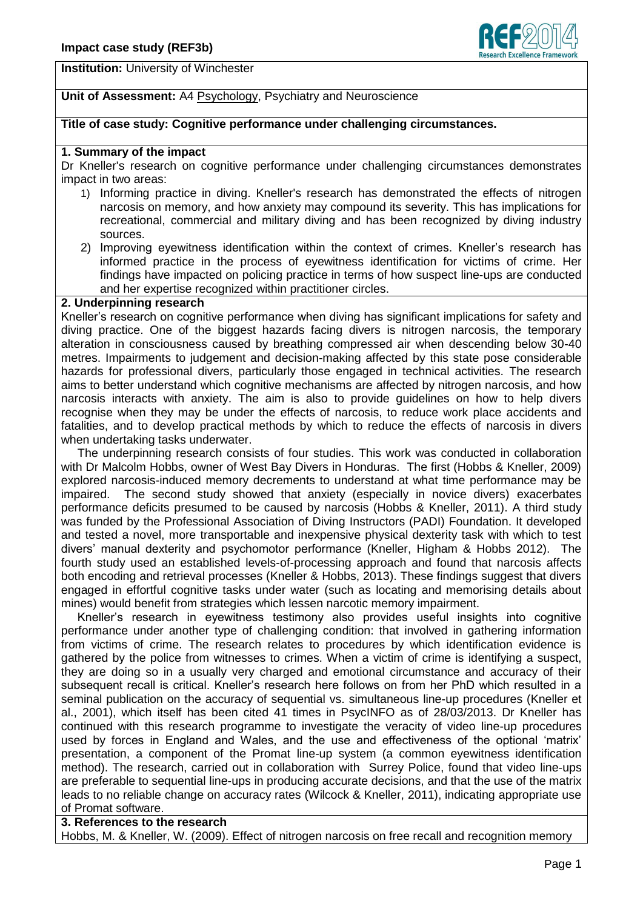

**Institution:** University of Winchester

# **Unit of Assessment:** A4 Psychology, Psychiatry and Neuroscience

## **Title of case study: Cognitive performance under challenging circumstances.**

## **1. Summary of the impact**

Dr Kneller's research on cognitive performance under challenging circumstances demonstrates impact in two areas:

- 1) Informing practice in diving. Kneller's research has demonstrated the effects of nitrogen narcosis on memory, and how anxiety may compound its severity. This has implications for recreational, commercial and military diving and has been recognized by diving industry sources.
- 2) Improving eyewitness identification within the context of crimes. Kneller's research has informed practice in the process of eyewitness identification for victims of crime. Her findings have impacted on policing practice in terms of how suspect line-ups are conducted and her expertise recognized within practitioner circles.

### **2. Underpinning research**

Kneller's research on cognitive performance when diving has significant implications for safety and diving practice. One of the biggest hazards facing divers is nitrogen narcosis, the temporary alteration in consciousness caused by breathing compressed air when descending below 30-40 metres. Impairments to judgement and decision-making affected by this state pose considerable hazards for professional divers, particularly those engaged in technical activities. The research aims to better understand which cognitive mechanisms are affected by nitrogen narcosis, and how narcosis interacts with anxiety. The aim is also to provide guidelines on how to help divers recognise when they may be under the effects of narcosis, to reduce work place accidents and fatalities, and to develop practical methods by which to reduce the effects of narcosis in divers when undertaking tasks underwater.

 The underpinning research consists of four studies. This work was conducted in collaboration with Dr Malcolm Hobbs, owner of West Bay Divers in Honduras. The first (Hobbs & Kneller, 2009) explored narcosis-induced memory decrements to understand at what time performance may be impaired. The second study showed that anxiety (especially in novice divers) exacerbates performance deficits presumed to be caused by narcosis (Hobbs & Kneller, 2011). A third study was funded by the Professional Association of Diving Instructors (PADI) Foundation. It developed and tested a novel, more transportable and inexpensive physical dexterity task with which to test divers' manual dexterity and psychomotor performance (Kneller, Higham & Hobbs 2012). The fourth study used an established levels-of-processing approach and found that narcosis affects both encoding and retrieval processes (Kneller & Hobbs, 2013). These findings suggest that divers engaged in effortful cognitive tasks under water (such as locating and memorising details about mines) would benefit from strategies which lessen narcotic memory impairment.

 Kneller's research in eyewitness testimony also provides useful insights into cognitive performance under another type of challenging condition: that involved in gathering information from victims of crime. The research relates to procedures by which identification evidence is gathered by the police from witnesses to crimes. When a victim of crime is identifying a suspect, they are doing so in a usually very charged and emotional circumstance and accuracy of their subsequent recall is critical. Kneller's research here follows on from her PhD which resulted in a seminal publication on the accuracy of sequential vs. simultaneous line-up procedures (Kneller et al., 2001), which itself has been cited 41 times in PsycINFO as of 28/03/2013. Dr Kneller has continued with this research programme to investigate the veracity of video line-up procedures used by forces in England and Wales, and the use and effectiveness of the optional 'matrix' presentation, a component of the Promat line-up system (a common eyewitness identification method). The research, carried out in collaboration with Surrey Police, found that video line-ups are preferable to sequential line-ups in producing accurate decisions, and that the use of the matrix leads to no reliable change on accuracy rates (Wilcock & Kneller, 2011), indicating appropriate use of Promat software.

# **3. References to the research**

Hobbs, M. & Kneller, W. (2009). Effect of nitrogen narcosis on free recall and recognition memory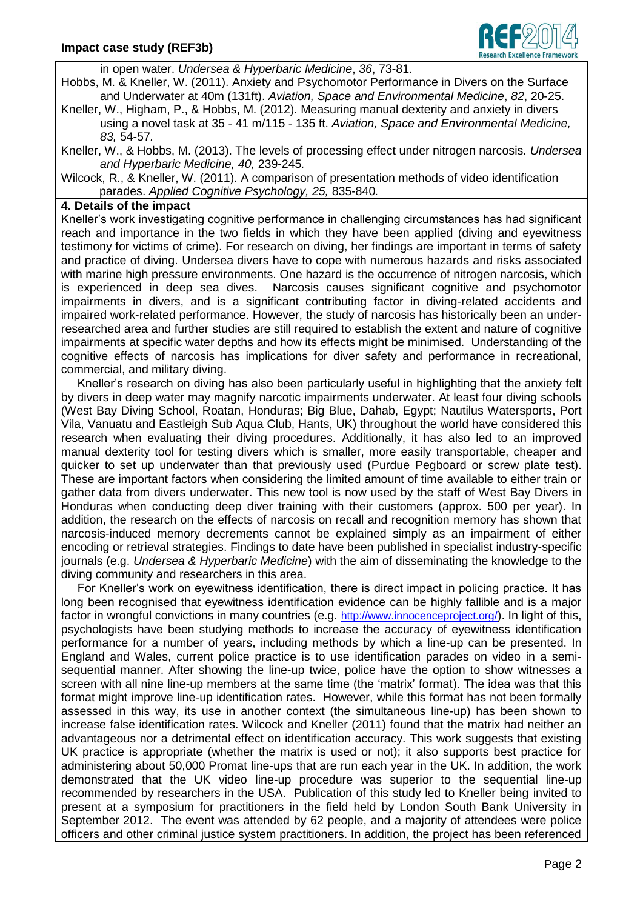

in open water. *Undersea & Hyperbaric Medicine*, *36*, 73-81.

Hobbs, M. & Kneller, W. (2011). Anxiety and Psychomotor Performance in Divers on the Surface and Underwater at 40m (131ft). *Aviation, Space and Environmental Medicine*, *82*, 20-25.

- Kneller, W., Higham, P., & Hobbs, M. (2012). Measuring manual dexterity and anxiety in divers using a novel task at 35 - 41 m/115 - 135 ft. *Aviation, Space and Environmental Medicine, 83,* 54-57*.*
- Kneller, W., & Hobbs, M. (2013). The levels of processing effect under nitrogen narcosis. *Undersea and Hyperbaric Medicine, 40,* 239-245*.*

Wilcock, R., & Kneller, W. (2011). A comparison of presentation methods of video identification parades. *Applied Cognitive Psychology, 25,* 835-840*.*

# **4. Details of the impact**

Kneller's work investigating cognitive performance in challenging circumstances has had significant reach and importance in the two fields in which they have been applied (diving and eyewitness testimony for victims of crime). For research on diving, her findings are important in terms of safety and practice of diving. Undersea divers have to cope with numerous hazards and risks associated with marine high pressure environments. One hazard is the occurrence of nitrogen narcosis, which is experienced in deep sea dives. Narcosis causes significant cognitive and psychomotor impairments in divers, and is a significant contributing factor in diving-related accidents and impaired work-related performance. However, the study of narcosis has historically been an underresearched area and further studies are still required to establish the extent and nature of cognitive impairments at specific water depths and how its effects might be minimised. Understanding of the cognitive effects of narcosis has implications for diver safety and performance in recreational, commercial, and military diving.

 Kneller's research on diving has also been particularly useful in highlighting that the anxiety felt by divers in deep water may magnify narcotic impairments underwater. At least four diving schools (West Bay Diving School, Roatan, Honduras; Big Blue, Dahab, Egypt; Nautilus Watersports, Port Vila, Vanuatu and Eastleigh Sub Aqua Club, Hants, UK) throughout the world have considered this research when evaluating their diving procedures. Additionally, it has also led to an improved manual dexterity tool for testing divers which is smaller, more easily transportable, cheaper and quicker to set up underwater than that previously used (Purdue Pegboard or screw plate test). These are important factors when considering the limited amount of time available to either train or gather data from divers underwater. This new tool is now used by the staff of West Bay Divers in Honduras when conducting deep diver training with their customers (approx. 500 per year). In addition, the research on the effects of narcosis on recall and recognition memory has shown that narcosis-induced memory decrements cannot be explained simply as an impairment of either encoding or retrieval strategies. Findings to date have been published in specialist industry-specific journals (e.g. *Undersea & Hyperbaric Medicine*) with the aim of disseminating the knowledge to the diving community and researchers in this area.

 For Kneller's work on eyewitness identification, there is direct impact in policing practice. It has long been recognised that eyewitness identification evidence can be highly fallible and is a major factor in wrongful convictions in many countries (e.g. <http://www.innocenceproject.org/>). In light of this, psychologists have been studying methods to increase the accuracy of eyewitness identification performance for a number of years, including methods by which a line-up can be presented. In England and Wales, current police practice is to use identification parades on video in a semisequential manner. After showing the line-up twice, police have the option to show witnesses a screen with all nine line-up members at the same time (the 'matrix' format). The idea was that this format might improve line-up identification rates. However, while this format has not been formally assessed in this way, its use in another context (the simultaneous line-up) has been shown to increase false identification rates. Wilcock and Kneller (2011) found that the matrix had neither an advantageous nor a detrimental effect on identification accuracy. This work suggests that existing UK practice is appropriate (whether the matrix is used or not); it also supports best practice for administering about 50,000 Promat line-ups that are run each year in the UK. In addition, the work demonstrated that the UK video line-up procedure was superior to the sequential line-up recommended by researchers in the USA. Publication of this study led to Kneller being invited to present at a symposium for practitioners in the field held by London South Bank University in September 2012. The event was attended by 62 people, and a majority of attendees were police officers and other criminal justice system practitioners. In addition, the project has been referenced